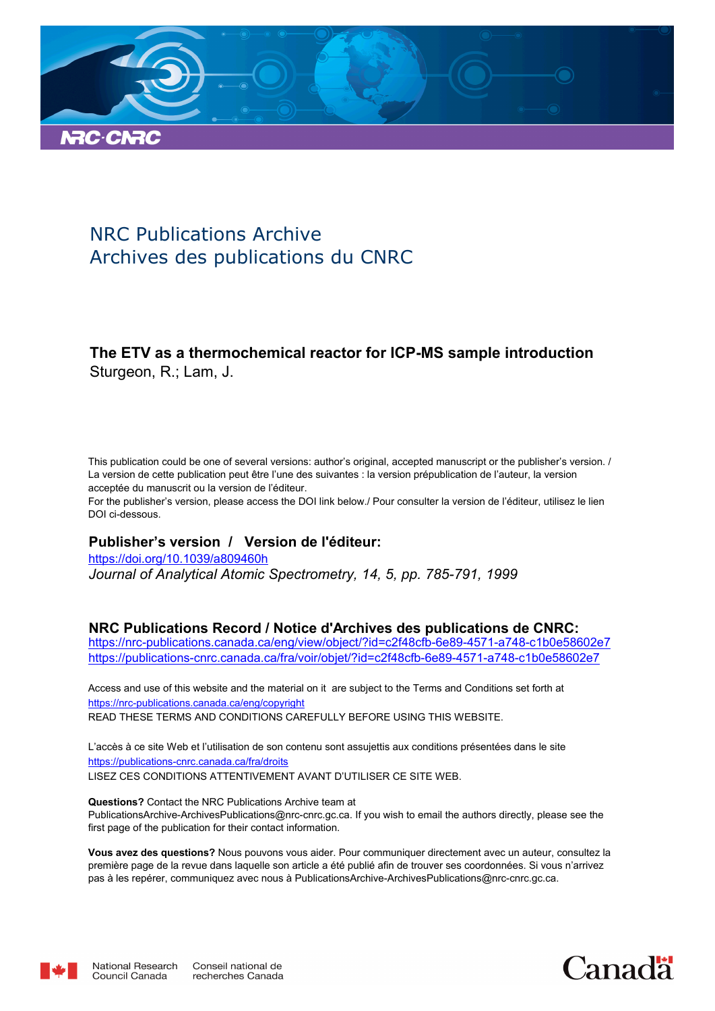

# NRC Publications Archive Archives des publications du CNRC

## **The ETV as a thermochemical reactor for ICP-MS sample introduction** Sturgeon, R.; Lam, J.

This publication could be one of several versions: author's original, accepted manuscript or the publisher's version. / La version de cette publication peut être l'une des suivantes : la version prépublication de l'auteur, la version acceptée du manuscrit ou la version de l'éditeur.

For the publisher's version, please access the DOI link below./ Pour consulter la version de l'éditeur, utilisez le lien DOI ci-dessous.

### **Publisher's version / Version de l'éditeur:**

*Journal of Analytical Atomic Spectrometry, 14, 5, pp. 785-791, 1999* https://doi.org/10.1039/a809460h

### **NRC Publications Record / Notice d'Archives des publications de CNRC:**

https://nrc-publications.canada.ca/eng/view/object/?id=c2f48cfb-6e89-4571-a748-c1b0e58602e7 https://publications-cnrc.canada.ca/fra/voir/objet/?id=c2f48cfb-6e89-4571-a748-c1b0e58602e7

READ THESE TERMS AND CONDITIONS CAREFULLY BEFORE USING THIS WEBSITE. https://nrc-publications.canada.ca/eng/copyright Access and use of this website and the material on it are subject to the Terms and Conditions set forth at

https://publications-cnrc.canada.ca/fra/droits L'accès à ce site Web et l'utilisation de son contenu sont assujettis aux conditions présentées dans le site LISEZ CES CONDITIONS ATTENTIVEMENT AVANT D'UTILISER CE SITE WEB.

**Questions?** Contact the NRC Publications Archive team at PublicationsArchive-ArchivesPublications@nrc-cnrc.gc.ca. If you wish to email the authors directly, please see the first page of the publication for their contact information.

**Vous avez des questions?** Nous pouvons vous aider. Pour communiquer directement avec un auteur, consultez la première page de la revue dans laquelle son article a été publié afin de trouver ses coordonnées. Si vous n'arrivez pas à les repérer, communiquez avec nous à PublicationsArchive-ArchivesPublications@nrc-cnrc.gc.ca.



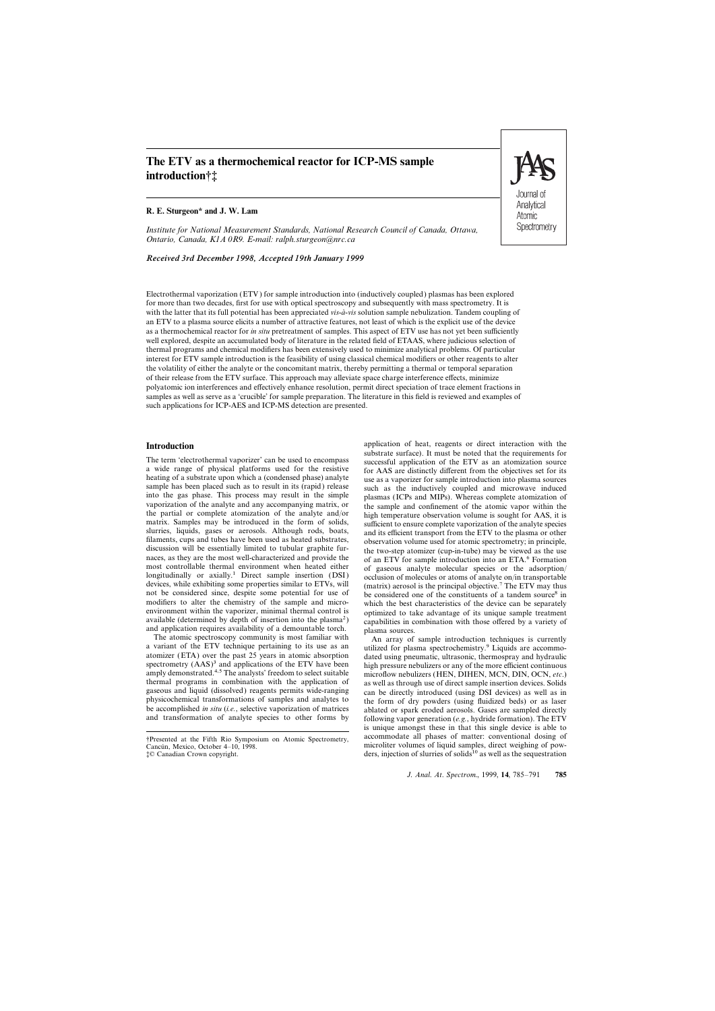## **The ETV as a thermochemical reactor for ICP-MS sample introduction†‡**

### **R. E. Sturgeon\* and J. W. Lam**

*Institute for National Measurement Standards, National Research Council of Canada, Ottawa, Ontario, Canada, K1A 0R9. E-mail: ralph.sturgeon@nrc.ca*

*Received 3rd December 1998, Accepted 19th January 1999*



Electrothermal vaporization (ETV ) for sample introduction into (inductively coupled) plasmas has been explored for more than two decades, first for use with optical spectroscopy and subsequently with mass spectrometry. It is with the latter that its full potential has been appreciated *vis-à-vis* solution sample nebulization. Tandem coupling of an ETV to a plasma source elicits a number of attractive features, not least of which is the explicit use of the device as a thermochemical reactor for *in situ* pretreatment of samples. This aspect of ETV use has not yet been su ciently well explored, despite an accumulated body of literature in the related field of ETAAS, where judicious selection of thermal programs and chemical modifiers has been extensively used to minimize analytical problems. Of particular interest for ETV sample introduction is the feasibility of using classical chemical modifiers or other reagents to alter the volatility of either the analyte or the concomitant matrix, thereby permitting a thermal or temporal separation of their release from the ETV surface. This approach may alleviate space charge interference e ects, minimize polyatomic ion interferences and e ectively enhance resolution, permit direct speciation of trace element fractions in samples as well as serve as a 'crucible' for sample preparation. The literature in this field is reviewed and examples of such applications for ICP-AES and ICP-MS detection are presented.

The term 'electrothermal vaporizer' can be used to encompass successful application of the ETV as an atomization source a wide range of physical platforms used for the resistive for AAS are distinctly di erent from the objectives set for its heating of a substrate upon which a (condensed phase) analyte use as a vanorizer for sample introduc heating of a substrate upon which a (condensed phase) analyte use as a vaporizer for sample introduction into plasma sources sample has been placed such as to result in its (rapid) release such as the inductively coupled a sample has been placed such as to result in its (rapid) release such as the inductively coupled and microwave induced into the gas phase. This process may result in the simple plasmas (ICPs and MIPs). Whereas complete atom into the gas phase. This process may result in the simple plasmas (ICPs and MIPs). Whereas complete atomization of vaporization of the analyte and any accompanying matrix, or the sample and confinement of the atomic vapor the partial or complete atomization of the analyte and matrix. Samples may be introduced in the form of solids,<br>surries, liquids, gases or aerosols. Although rods, boats,<br>and its experiment from the FTV to the plasma or other slurries, liquids, gases or aerosols. Although rods, boats, and its e cient transport from the ETV to the plasma or other filaments, cups and tubes have been used as heated substrates, observation volume used for atomic sp filaments, cups and tubes have been used as heated substrates, observation volume used for atomic spectrometry; in principle, discussion will be essentially limited to tubular graphite fur-<br>the two-step atomizer (cup-in-tu naces, as they are the most well-characterized and provide the most controllable thermal environment when heated either longitudinally or axially.<sup>1</sup> Direct sample insertion (DSI) devices, while exhibiting some properties similar to ETVs, will not be considered since, despite some potential for use of modifiers to alter the chemistry of the sample and micromodifiers to alter the chemistry of the sample and micro-<br>evidence the best characteristics of the device can be separately<br>environment within the vaporizer, minimal thermal control is<br>optimized to take advantage of its un available (determined by depth of insertion into the plasma 2 and application requires availability of a demountable torch. plasma sources.<br>The atomic spectroscopy community is most familiar with an array of

a variant of the ETV technique pertaining to its use as an atomizer (ETA) over the past 25 years in atomic absorption spectrometry (AAS)<sup>3</sup> and applications of the ETV have been spectrometry  $(AAS)^3$  and applications of the ETV have been high pressure nebulizers or any of the more e cient continuous amply demonstrated.<sup>4,5</sup> The analysts' freedom to select suitable microflow nebulizers (HEN DIHEN M amply demonstrated.<sup>4,5</sup> The analysts' freedom to select suitable microflow nebulizers (HEN, DIHEN, MCN, DIN, OCN, *etc.*) thermal programs in combination with the application of as well as through use of direct sample ins gaseous and liquid (dissolved) reagents permits wide-ranging can be directly introduced (using DSI devices) as well as in physicochemical transformations of samples and analytes to the form of dry powders (using fluidized be accomplished *in situ* (*i.e.*, selective vaporization of matrices be accomplished *in situ* (*i.e.*, selective vaporization of matrices ablated or spark eroded aerosols. Gases are sampled directly and transformation of analyte species to other forms by following vapor generation (*e.g.*,

**Introduction application of heat, reagents or direct interaction with the** substrate surface). It must be noted that the requirements for the sample and confinement of the atomic vapor within the high temperature observation volume is sought for AAS, it is the two-step atomizer (cup-in-tube) may be viewed as the use of an ETV for sample introduction into an ETA.<sup>6</sup> Formation of gaseous analyte molecular species or the adsorption/ <sup>1</sup> Direct sample insertion (DSI) occlusion of molecules or atoms of analyte on/in transportable (matrix) aerosol is the principal objective.<sup>7</sup> The ETV may thus be considered one of the constituents of a tandem source<sup>8</sup> in optimized to take advantage of its unique sample treatment ) capabilities in combination with those o ered by a variety of

An array of sample introduction techniques is currently utilized for plasma spectrochemistry.<sup>9</sup> Liquids are accommodated using pneumatic, ultrasonic, thermospray and hydraulic as well as through use of direct sample insertion devices. Solids the form of dry powders (using fluidized beds) or as laser following vapor generation (e.g., hydride formation). The ETV is unique amongst these in that this single device is able to accommodate all phases of matter: conventional dosing of †Presented at the Fifth Rio Symposium on Atomic Spectrometry, Cancun, Mexico, October 4–10, 1998.<br>  $\frac{1}{2}$  microliter volumes of liquid samples, direct weighing of pow-<br>  $\frac{1}{2}$  Canadian Crown copyright.<br>  $\frac{1}{2}$  Canadian Crown copyright. ders, injection of slurries of solids<sup>10</sup> as well as the sequestration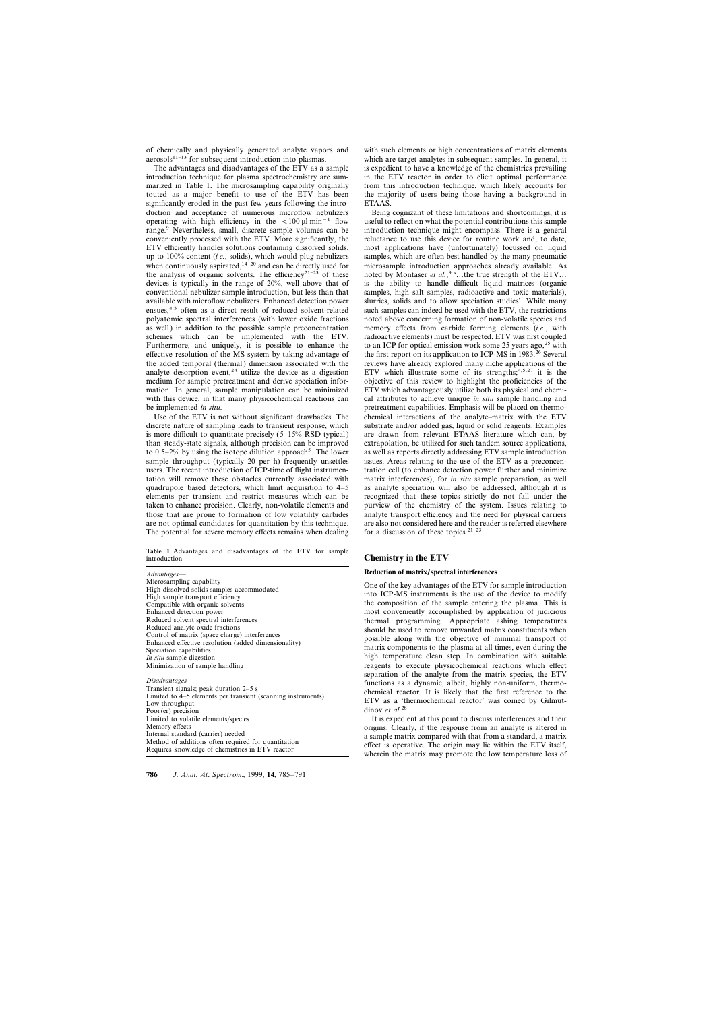introduction technique for plasma spectrochemistry are sum- in the ETV reactor in order to elicit optimal performance marized in Table 1. The microsampling capability originally from this introduction technique, which likely accounts for touted as a major benefit to use of the ETV has been the majority of users being those having a background in significantly eroded in the past few years following the intro- ETAAS. duction and acceptance of numerous microflow nebulizers Being cognizant of these limitations and shortcomings, it is operating with high e ciency in the  $\lt 100 \mu l \text{ min}^$ range.<sup>9</sup> Nevertheless, small, discrete sample volumes can be conveniently processed with the ETV. More significantly, the reluctance to use this device for routine work and, to date, ETV e ciently handles solutions containing dissolved solids, most applications have (unfortunately) focussed on liquid up to 100% content (*i.e.*, solids), which would plug nebulizers samples, which are often best handled by the many pneumatic when continuously aspirated,<sup>14–20</sup> and can be directly used for microsample introduction approaches already available. As the analysis of organic solvents. The e ciency<sup>21–23</sup> of these noted by Montaser *et al.*,<sup>9</sup> ...the true strength of the ETV... devices is typically in the range of 20%, well above that of is the ability to handle di cul devices is typically in the range of 20%, well above that of conventional nebulizer sample introduction, but less than that samples, high salt samples, radioactive and toxic materials), available with microflow nebulizers. Enhanced detection power slurries, solids and to allow speciation studies'. While many ensues,<sup>4,5</sup> often as a direct result of reduced solvent-related such samples can indeed be used with the ETV, the restrictions polyatomic spectral interferences (with lower oxide fractions noted above concerning formation polyatomic spectral interferences (with lower oxide fractions noted above concerning formation of non-volatile species and as well) in addition to the possible sample preconcentration memory e ects from carbide forming ele as well) in addition to the possible sample preconcentration memory e ects from carbide forming elements (*i.e.*, with schemes which can be implemented with the ETV. radioactive elements) must be respected. ETV was first c Furthermore, and uniquely, it is possible to enhance the to an ICP for optical emission work some 25 years ago,<sup>25</sup> with e ective resolution of the MS system by taking advantage of the first report on its application to ICP-MS in 1983.<sup>26</sup> Several the added temporal (thermal) dimension associated with the reviews have already explored many niche applications of the analyte desorption event,<sup>24</sup> utilize the device as a digestion ETV which illustrate some of its strengths;<sup>4,5,27</sup> it is the medium for sample pretreatment and derive speciation infor- objective of this review to highlight the proficiencies of the mation. In general, sample manipulation can be minimized ETV which advantageously utilize both its physical and chemiwith this device, in that many physicochemical reactions can cal attributes to achieve unique *in situ* sample handling and be implemented *in situ*

discrete nature of sampling leads to transient response, which is more di cult to quantitate precisely  $(5-15%$  RSD typical are drawn from relevant ETAAS literature which can, by than steady-state signals, although precision can be improved extrapolation, be utilized for such tandem source applications, to  $0.5-2\%$  by using the isotope dilution approach<sup>5</sup>. The lower sample throughput (typically 20 per h) frequently unsettles issues. Areas relating to the use of the ETV as a preconcenusers. The recent introduction of ICP-time of flight instrumen- tration cell (to enhance detection power further and minimize tation will remove these obstacles currently associated with matrix interferences), for *in situ* sample preparation, as well quadrupole based detectors, which limit acquisition to  $4-5$  as analyte speciation will also be addressed, although it is elements per transient and restrict measures which can be recognized that these topics strictly do not fall under the taken to enhance precision. Clearly, non-volatile elements and purview of the chemistry of the system. Issues relating to those that are prone to formation of low volatility carbides analyte transport e ciency and the need are not optimal candidates for quantitation by this technique. are also not considered here and the reader is referred elsewhere<br>The potential for severe memory e ects remains when dealing for a discussion of these topics The potential for severe memory e ects remains when dealing

**Table 1** Advantages and disadvantages of the ETV for sample

*Advantages Disadvantages* Poor(er) precision dinov *et al.*<sup>28</sup>

Limited to volatile elements/species Method of additions often required for quantitation<br>Requires knowledge of chemistries in ETV reactor

of chemically and physically generated analyte vapors and with such elements or high concentrations of matrix elements aerosols<sup>11–13</sup> for subsequent introduction into plasmas. which are target analytes in subsequent samples. In general, it The advantages and disadvantages of the ETV as a sample is expedient to have a knowledge of the chemistries prevailing

useful to reflect on what the potential contributions this sample introduction technique might encompass. There is a general , 9 '…the true strength of the ETV… radioactive elements) must be respected. ETV was first coupled . pretreatment capabilities. Emphasis will be placed on thermo-Use of the ETV is not without significant drawbacks. The chemical interactions of the analyte–matrix with the ETV substrate and/or added gas, liquid or solid reagents. Examples as well as reports directly addressing ETV sample introduction analyte transport e ciency and the need for physical carriers

### **Chemistry in the ETV**

### — **Reduction of matrix** /**spectral interferences**

Microsampling capability<br>
High dissolved solids samples accommodated<br>
High sample transport e ciency<br>
High sample transport e ciency<br>
High sample transport e ciency<br>
High sample transport e ciency High sample transport e into ICP-MS instruments is the use of the device to modify High sample transport e into ICP-MS instruments is the use of the device to modify compatible with organic solvents the composition of the sample entering the plasma. This is Enhanced detection power<br>
Reduced solvent spectral interferences<br>
Reduced solvent spectral interferences<br>
Thermal programming. Appropriate ashing temperatures Reduced solvent spectral interferences<br>
Reduced analyte oxide fractions<br>
Reduced analyte oxide fractions<br>
Reduced analyte oxide fractions<br>
Nould be used to remove unwanted matrix constituents when Reduced analyte oxide fractions<br>Control of matrix (space charge) interferences<br>Reduced to remove unwanted matrix constituents when<br> $\frac{1}{2}$  should be used to remove unwanted matrix constituents when Control of matrix (space charge) interferences<br>
Enhanced e ective resolution (added dimensionality)<br>
Speciation capabilities<br> *In situ* sample digestion<br> *In situ* sample digestion<br> *In situ* sample digestion *In situ* sample digestion high temperature clean step. In combination with suitable minimization of sample handling measure of the step. In combination with suitable reagents to execute physicochemical reactions which e e reagents to execute physicochemical reactions which e ect separation of the analyte from the matrix species, the ETV Disadvantages—<br>Transient signals; peak duration 2–5 s<br>channical recotor. It is likely that the first reference to the Transient signals, peak duration 2–5 s<br>Limited to 4–5 elements per transient (scanning instruments)<br>Low throughput<br>Low throughput<br>Low throughput

It is expedient at this point to discuss interferences and their Memory e ects<br>
Internal standard (carrier) needed<br> **Alternal standard (carrier)** needed<br> **Alternal standard (carrier)** needed<br> **Alternal standard carrier)** needed<br> **Alternal standard carrier)** needed a sample matrix compared with that from a standard, a matrix e ect is operative. The origin may lie within the ETV itself, wherein the matrix may promote the low temperature loss of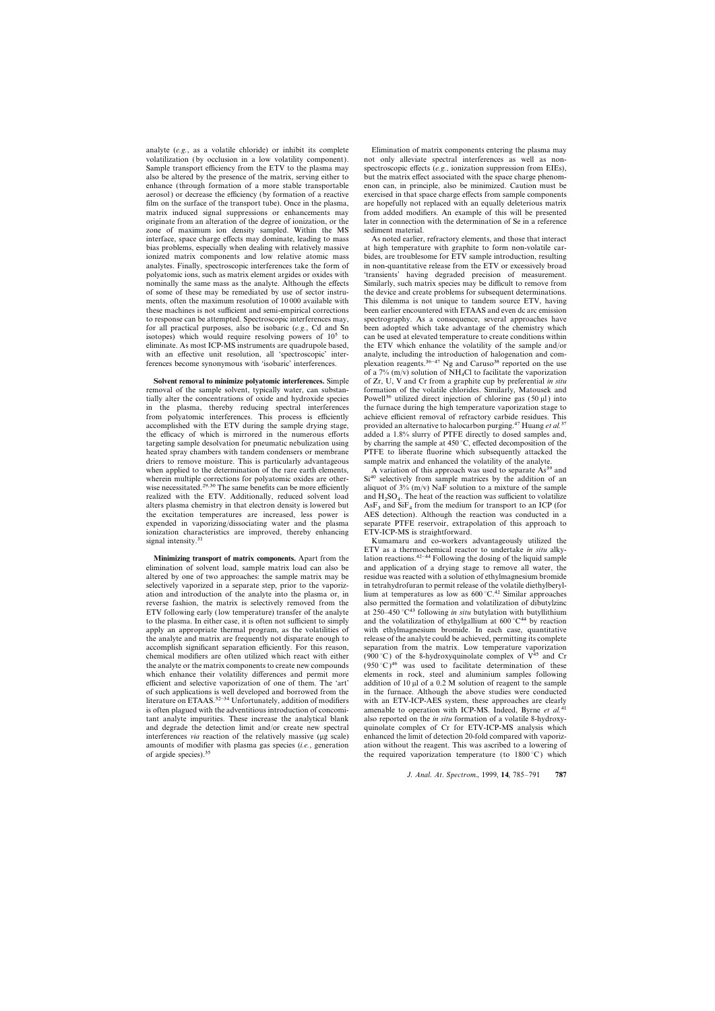analyte (*e.g.*, as a volatile chloride) or inhibit its complete Elimination of matrix components entering the plasma may volatilization (by occlusion in a low volatility component). not only alleviate spectral interferences as well as non-Sample transport e ciency from the ETV to the plasma may spectroscopic e ects (*e.g.*, ionization suppression from EIEs), also be altered by the presence of the matrix, serving either to but the matrix e ect associated with the space charge phenomenhance (through formation of a more stable transportable enon can, in principle, also be minimized. Caution must be aerosol) or decrease the e ciency (by formation of a reactive exercised in that space charge e ects from sample components film on the surface of the transport tube). Once in the plasma, are hopefully not replaced with an equally deleterious matrix matrix induced signal suppressions or enhancements may from added modifiers. An example of this will be presented originate from an alteration of the degree of ionization, or the later in connection with the determination of Se in a reference zone of maximum ion density sampled. Within the MS sediment material. interface, space charge e ects may dominate, leading to mass As noted earlier, refractory elements, and those that interact bias problems, especially when dealing with relatively massive at high temperature with graphite to form non-volatile carionized matrix components and low relative atomic mass bides, are troublesome for ETV sample introduction, resulting analytes. Finally, spectroscopic interferences take the form of in non-quantitative release from the ETV or excessively broad polyatomic ions, such as matrix element argides or oxides with 'transients' having degraded precision of measurement. nominally the same mass as the analyte. Although the e ects Similarly, such matrix species may be di cult to remove from of some of these may be remediated by use of sector instru- the device and create problems for subsequent determinations. ments, often the maximum resolution of 10 000 available with This dilemma is not unique to tandem source ETV, having these machines is not su cient and semi-empirical corrections been earlier encountered with ETAAS and even dc arc emission to response can be attempted. Spectroscopic interferences may, spectrography. As a consequence, sev to response can be attempted. Spectroscopic interferences may, for all practical purposes, also be isobaric  $(e.g., Cd$  and Sn isotopes) which would require resolving powers of  $10^5$  to eliminate. As most ICP-MS instruments are quadrupole based, with an e ective unit resolution, all 'spectroscopic' inter- analyte, including the introduction of halogenation and comferences become synonymous with 'isobaric' interferences. plexation reagents.<sup>36–47</sup> Ng and Caruso<sup>38</sup> reported on the use

removal of the sample solvent, typically water, can substan- formation of the volatile chlorides. Similarly, Matousek and tially alter the concentrations of oxide and hydroxide species in the plasma, thereby reducing spectral interferences the furnace during the high temperature vaporization stage to from polyatomic interferences. This process is e ciently achieve e cient removal of refractory carbide residues. This accomplished with the ETV during the sample drying stage, provided an alternative to halocarbon purging.47 Huang *et al.*37 the e cacy of which is mirrored in the numerous e orts added a 1.8% slurry of PTFE directly to dosed samples and, targeting sample desolvation for pneumatic nebulization using heated spray chambers with tandem condensers or membrane PTFE to liberate fluorine which subsequently attacked the driers to remove moisture. This is particularly advantageous sample matrix and enhanced the volatility of the analyte. when applied to the determination of the rare earth elements,  $A$  variation of this approach was used to separate  $As^{39}$  and wherein multiple corrections for polyatomic oxides are other- $Si^{40}$  selectively from sample ma wherein multiple corrections for polyatomic oxides are otherwise necessitated.<sup>29,30</sup> The same benefits can be more e ciently realized with the ETV. Additionally, reduced solvent load alters plasma chemistry in that electron density is lowered but  $\text{As}F_3$  and  $\text{Si}F_4$  from the medium for transport to an ICP (for the excitation temperatures are increased, less power is AES detection). Although the reaction was conducted in a expended in vaporizing/dissociating water and the plasma ionization characteristics are improved, thereby enhancing ETV-ICP-MS is straightforward.<br>Kumamaru and co-workers

elimination of solvent load, sample matrix load can also be and application of a drying stage to remove all water, the altered by one of two approaches: the sample matrix may be residue was reacted with a solution of ethylmagnesium bromide selectively vaporized in a separate step, prior to the vaporiz-<br>in tetrahydrofuran to permit release ation and introduction of the analyte into the plasma or, in lium at temperatures as low as  $600^{\circ}C^{42}$  Similar approaches reverse fashion, the matrix is selectively removed from the also permitted the formation and volatilization of dibutylzinc ETV following early (low temperature) transfer of the analyte to the plasma. In either case, it is often not su cient to simply apply an appropriate thermal program, as the volatilities of with ethylmagnesium bromide. In each case, quantitative the analyte and matrix are frequently not disparate enough to release of the analyte could be achieved, permitting its complete accomplish significant separation e ciently. For this reason, separation from the matrix. Low temperature vaporization chemical modifiers are often utilized which react with either the analyte or the matrix components to create new compounds which enhance their volatility di erences and permit more elements in rock, steel and aluminium samples following e cient and selective vaporization of one of them. The 'art' addition of  $10 \mu$  of a 0.2 M solution of reagent to the sample of such applications is well developed and borrowed from the in the furnace. Although the above studies were conducted literature on ETAAS.<sup>32–34</sup> Unfortunately, addition of modifiers with an ETV-ICP-AES system, these approaches are clearly is often plagued with the adventitious introduction of concomi- amenable to operation with ICP-MS. Indeed, Byrne *et al.*41 tant analyte impurities. These increase the analytical blank also reported on the *in situ* formation of a volatile 8-hydroxyand degrade the detection limit and/or create new spectral quinolate complex of Cr for ETV-ICP-MS analysis which interferences *via* reaction of the relatively massive (µg scale) amounts of modifier with plasma gas species (*i.e.*, generation ation without the reagent. This was ascribed to a lowering of of argide species).<sup>35</sup> the required vaporization temperature (to 1800 °C) which

been adopted which take advantage of the chemistry which can be used at elevated temperature to create conditions within the ETV which enhance the volatility of the sample and/or of a  $7\%$  (m/v) solution of NH<sub>4</sub>Cl to facilitate the vaporization **Solvent removal to minimize polyatomic interferences.** Simple of Zr, U, V and Cr from a graphite cup by preferential *in situ* Powell<sup>36</sup> utilized direct injection of chlorine gas  $(50 \mu l)$  into by charring the sample at  $450^{\circ}$ C, e ected decomposition of the

> aliquot of  $3\%$  (m/v) NaF solution to a mixture of the sample  $2SO_4$ . The heat of the reaction was su cient to volatilize separate PTFE reservoir, extrapolation of this approach to

Kumamaru and co-workers advantageously utilized the ETV as a thermochemical reactor to undertake *in situ* alky-**Minimizing transport of matrix components.** Apart from the lation reactions.<sup>42–44</sup> Following the dosing of the liquid sample in tetrahydrofuran to permit release of the volatile diethylberyl-° C43 following *in situ* butylation with butyllithium <sup>°</sup>C<sup>44</sup> by reaction (900 °C) of the 8-hydroxyquinolate complex of  $V^{45}$  and Cr  $(950\degree C)^{46}$  was used to facilitate determination of these enhanced the limit of detection 20-fold compared with vaporiz-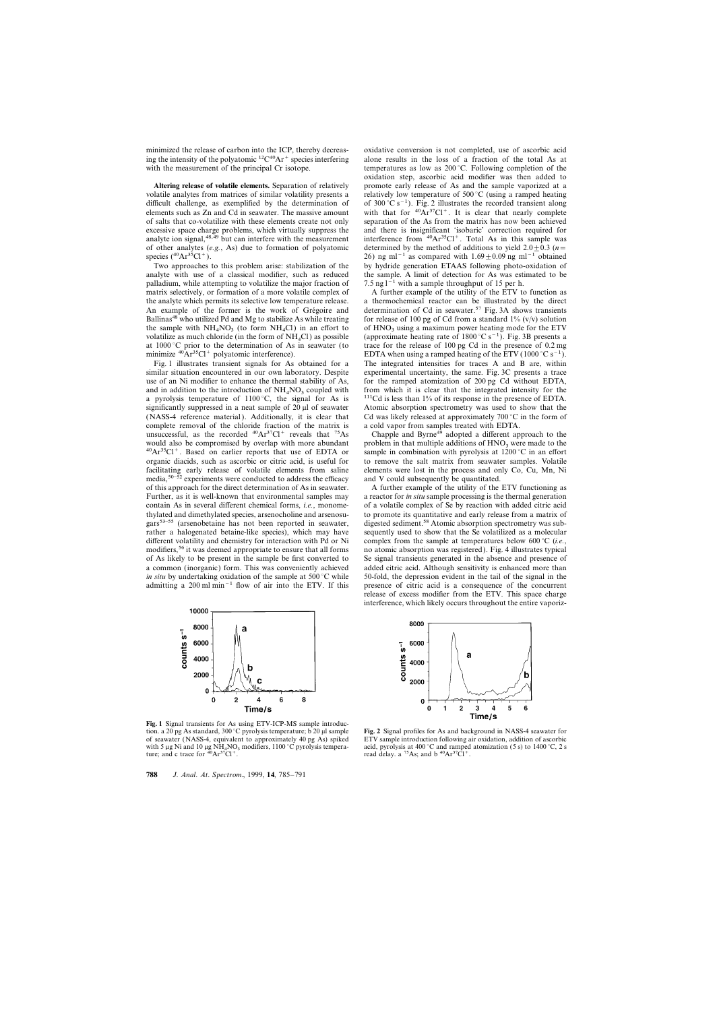analyte with use of a classical modifier, such as reduced the sample. A limit of detection for As was estimated to be palladium, while attempting to volatilize the major fraction of 7.5 ng  $1^{-1}$  with a sample throughput palladium, while attempting to volatilize the major fraction of matrix selectively, or formation of a more volatile complex of A further example of the utility of the ETV to function as the analyte which permits its selective low temperature release. a thermochemical reactor can be illustrated by the direct An example of the former is the work of Grégoire and determination of Cd in seawater.<sup>57</sup> Fig. 3A An example of the former is the work of Grégoire and determination of Cd in seawater.<sup>57</sup> Fig. 3A shows transients Ballinas<sup>48</sup> who utilized Pd and Mg to stabilize As while treating for release of 100 pg of Cd from a stan the sample with  $NH<sub>4</sub>NO<sub>3</sub>$  (to form  $NH<sub>4</sub>Cl$ ) in an e ort to of  $HNO<sub>3</sub>$  using a maximum power heating mode for the ETV  $NO<sub>3</sub>$  (to form  $NH<sub>4</sub>Cl$ ) in an e ort to volatilize as much chloride (in the form of  $NH<sub>4</sub>Cl$ ) as possible at 1000 °C prior to the determination of As in seawater (to

similar situation encountered in our own laboratory. Despite experimental uncertainty, the same. Fig. 3C presents a trace use of an Ni modifier to enhance the thermal stability of As, for the ramped atomization of 200 pg Cd without EDTA, and in addition to the introduction of  $NH<sub>4</sub>NO<sub>3</sub>$ a pyrolysis temperature of 1100 °C, the signal for As is  $111 \text{Cd}$  is less than 1% of its response in the presence of EDTA. significantly suppressed in a neat sample of 20  $\mu$ l of seawater Atomic absorption spectrometry was used to show that the (NASS-4 reference material). Additionally, it is clear that Cd was likely released at approximately 700 °C in the form of complete removal of the chloride fraction of the matrix is a cold vapor from samples treated with EDTA. unsuccessful, as the recorded  ${}^{40}\text{Ar}^{37}\text{Cl}^+$  reveals that  ${}^{75}\text{As}$  Chapple and Byrne<sup>49</sup> adopted a di erent approach to the would also be compromised by overlap with more abundant  ${}^{40}\text{Ar}^{35}\text{Cl}^+$ . Based on earlier reports that use of EDTA or organic diacids, such as ascorbic or citric acid, is useful for to remove the salt matrix from seawater samples. Volatile facilitating early release of volatile elements from saline elements were lost in the process and only Co, Cu, Mn, Ni media,<sup>50–52</sup> experiments were conducted to address the e cacy and V could subsequently be quantitated. of this approach for the direct determination of As in seawater. A further example of the utility of the ETV functioning as Further, as it is well-known that environmental samples may a reactor for *in situ* sample processing is the thermal generation contain As in several di erent chemical forms, *i.e.*, monome-<br>thylated and dimethylated species, arsenocholine and arsenosu-<br>to promote its quantitative and early release from a matrix of thylated and dimethylated species, arsenocholine and arsenosu-<br>gars<sup>53–55</sup> (arsenobetaine has not been reported in seawater, rather a halogenated betaine-like species), which may have sequently used to show that the Se volatilized as a molecular di erent volatility and chemistry for interaction with Pd or Ni complex from the sample at temperatures below 600 °C (*i.e.*, modifiers,<sup>56</sup> it was deemed appropriate to ensure that all forms no atomic absorption was regis modifiers,<sup>56</sup> it was deemed appropriate to ensure that all forms of As likely to be present in the sample be first converted to a common (inorganic) form. This was conveniently achieved added citric acid. Although sensitivity is enhanced more than *in situ* by undertaking oxidation of the sample at 500 °C while 50-fold, the depression evident in t admitting a 200 ml min<sup> $-1$ </sup> flow of air into the ETV. If this

minimized the release of carbon into the ICP, thereby decreas- oxidative conversion is not completed, use of ascorbic acid ing the intensity of the polyatomic  ${}^{12}C^{40}Ar^{+}$  species interfering alone results in the loss of a fraction of the total As at with the measurement of the principal Cr isotope. temperatures as low as 200 °C. Following completion of the oxidation step, ascorbic acid modifier was then added to **Altering release of volatile elements.** Separation of relatively promote early release of As and the sample vaporized at a volatile analytes from matrices of similar volatility presents a relatively low temperature of 500 °C (using a ramped heating di cult challenge, as exemplified by the determination of of 300 °C s−1). Fig. 2 illustrates the recorded transient along elements such as Zn and Cd in seawater. The massive amount with that for  $40\text{Ar}^3/\text{Cl}^+$ . It is clear that nearly complete of salts that co-volatilize with these elements create not only separation of the As from the matrix has now been achieved excessive space charge problems, which virtually suppress the and there is insignificant 'isobaric' correction required for analyte ion signal,  $48.49$  but can interfere with the measurement interference from  $40Ar^{35}Cl^{+}$ analyte ion signal,<sup>48,49</sup> but can interfere with the measurement interference from <sup>40</sup>Ar<sup>35</sup>Cl<sup>+</sup>. Total As in this sample was of other analytes (e.g., As) due to formation of polyatomic determined by the method of addi of other analytes (*e.g.*, As) due to formation of polyatomic determined by the method of additions to yield  $2.0 \pm 0.3$  (*n*=<br>species (<sup>40</sup>Ar<sup>35</sup>Cl<sup>+</sup>). 26) ng ml<sup>-1</sup> as compared with  $1.69 \pm 0.09$  ng ml<sup>-1</sup> obtained 26) ng ml<sup>-1</sup> as compared with 1.69 $\pm$ 0.09 ng ml<sup>-1</sup> obtained Two approaches to this problem arise: stabilization of the by hydride generation ETAAS following photo-oxidation of

for release of 100 pg of Cd from a standard  $1\%$  (v/v) solution (approximate heating rate of 1800 °C s<sup>−1</sup>). Fig. 3B presents a at 1000 °C prior to the determination of As in seawater (to trace for the release of 100 pg Cd in the presence of 0.2 mg minimize <sup>40</sup>Ar<sup>35</sup>Cl<sup>+</sup> polyatomic interference). EDTA when using a ramped heating of the ETV (1000 EDTA when using a ramped heating of the ETV (1000 °C s<sup>−1</sup>). Fig. 1 illustrates transient signals for As obtained for a The integrated intensities for traces A and B are, within from which it is clear that the integrated intensity for the

> problem in that multiple additions of  $HNO<sub>3</sub>$  were made to the sample in combination with pyrolysis at  $1200$  °C in an e ort

> digested sediment.<sup>58</sup> Atomic absorption spectrometry was sub-Se signal transients generated in the absence and presence of 50-fold, the depression evident in the tail of the signal in the presence of citric acid is a consequence of the concurrent release of excess modifier from the ETV. This space charge interference, which likely occurs throughout the entire vaporiz-





**Fig. 1** Signal transients for As using ETV-ICP-MS sample introduction. a 20 pg As standard, 300 °C pyrolysis temperature; b 20  $\mu$  sample **Fig. 2** Signal profiles for As and background in NASS-4 seawater for of seawater (NASS-4, equivalent to approximately 40 pg As) spiked **ETV** sample with 5 µg Ni and 10 µg NH<sub>4</sub>NO<sub>3</sub> modifiers, 1100 °C pyrolysis tempera-<br>ture; and c trace for <sup>40</sup>Ar<sup>37</sup>Cl<sup>+</sup>.<br>read delay. a <sup>75</sup>As; and b <sup>40</sup>Ar<sup>37</sup>Cl<sup>+</sup>.

ETV sample introduction following air oxidation, addition of ascorbic acid, pyrolysis at 400 °C and ramped atomization (5 s) to 1400 °C, 2 s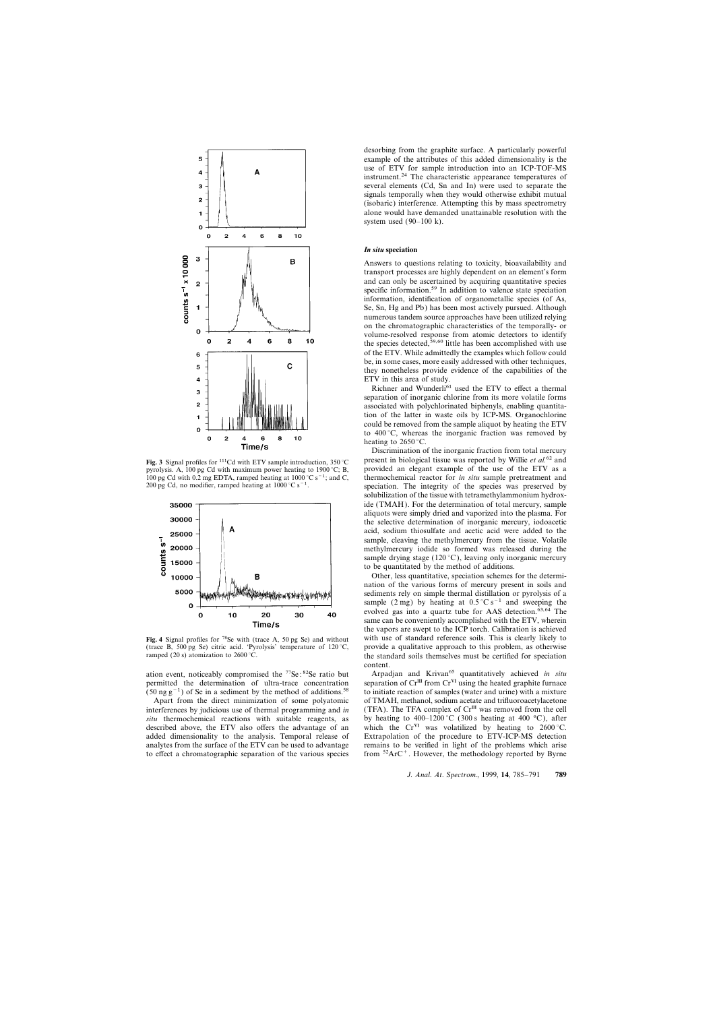

pyrolysis. A, 100 pg Cd with maximum power heating to 1900 $^{\circ}$ C; B, 100 pg Cd with 0.2 mg EDTA, ramped heating at  $1000^{\circ}$ C s<sup>-</sup> 200 pg Cd, no modifier, ramped heating at  $1000^{\circ}$ C s<sup>-1</sup>



(trace B, 500 pg Se) citric acid. 'Pyrolysis' temperature of 120 ramped (20 s) atomization to 2600 °C.

ation event, noticeably compromised the  $77$ Se:  $82$ Se ratio but permitted the determination of ultra-trace concentration (50 ng g −

interferences by judicious use of thermal programming and *in* (TFA). The TFA complex of Cr<sup>III</sup> was removed from the cell  $situ$  thermochemical reactions with suitable reagents, as described above, the ETV also o ers the advantage of an which the Cr<sup>VI</sup> was volatilized by heating to 2600 °C. added dimensionality to the analysis. Temporal release of Extrapolation of the procedure to ETV-ICP-MS detection analytes from the surface of the ETV can be used to advantage remains to be verified in light of the problems to e ect a chromatographic separation of the various species

desorbing from the graphite surface. A particularly powerful example of the attributes of this added dimensionality is the use of ETV for sample introduction into an ICP-TOF-MS instrument.24 The characteristic appearance temperatures of several elements (Cd, Sn and In) were used to separate the signals temporally when they would otherwise exhibit mutual (isobaric) interference. Attempting this by mass spectrometry alone would have demanded unattainable resolution with the system used (90–100 k).

### *In situ* **speciation**

Answers to questions relating to toxicity, bioavailability and transport processes are highly dependent on an element's form and can only be ascertained by acquiring quantitative species specific information.<sup>59</sup> In addition to valence state speciation information, identification of organometallic species (of As, Se, Sn, Hg and Pb) has been most actively pursued. Although numerous tandem source approaches have been utilized relying on the chromatographic characteristics of the temporally- or volume-resolved response from atomic detectors to identify the species detected,<sup>59,60</sup> little has been accomplished with use of the ETV. While admittedly the examples which follow could be, in some cases, more easily addressed with other techniques, they nonetheless provide evidence of the capabilities of the ETV in this area of study.

Richner and Wunderli<sup>61</sup> used the ETV to  $e$  ect a thermal separation of inorganic chlorine from its more volatile forms associated with polychlorinated biphenyls, enabling quantitation of the latter in waste oils by ICP-MS. Organochlorine could be removed from the sample aliquot by heating the ETV to 400 °C, whereas the inorganic fraction was removed by heating to 2650 °C.

Discrimination of the inorganic fraction from total mercury Fig. 3 Signal profiles for <sup>111</sup>Cd with ETV sample introduction, 350 °C present in biological tissue was reported by Willie *et al.*<sup>62</sup> and provided an elegant example of the use of the ETV as a thermochemical reactor for *in situ* sample pretreatment and speciation. The integrity of the species was preserved by solubilization of the tissue with tetramethylammonium hydroxide (TMAH). For the determination of total mercury, sample aliquots were simply dried and vaporized into the plasma. For the selective determination of inorganic mercury, iodoacetic acid, sodium thiosulfate and acetic acid were added to the sample, cleaving the methylmercury from the tissue. Volatile methylmercury iodide so formed was released during the sample drying stage (120 °C), leaving only inorganic mercury to be quantitated by the method of additions.

Other, less quantitative, speciation schemes for the determination of the various forms of mercury present in soils and sediments rely on simple thermal distillation or pyrolysis of a sample (2 mg) by heating at  $0.5^{\circ}$ C s<sup>-1</sup> and sweeping the evolved gas into a quartz tube for AAS detection.<sup>63,64</sup> The same can be conveniently accomplished with the ETV, wherein the vapors are swept to the ICP torch. Calibration is achieved **Fig. 4** Signal profiles for 78Se with (trace A, 50 pg Se) and without with use of standard reference soils. This is clearly likely to provide a qualitative approach to this problem, as otherwise the standard soils themselves must be certified for speciation content.

Arpadjan and Krivan<sup>65</sup> quantitatively achieved *in situ* separation of  $Cr^{III}$  from  $Cr^{VI}$  using the heated graphite furnace to initiate reaction of samples (water and urine) with a mixture Apart from the direct minimization of some polyatomic of TMAH, methanol, sodium acetate and trifluoroacetylacetone  $°C$  (300 s heating at 400  $°C$ ), after remains to be verified in light of the problems which arise from  $52ArC^+$ . However, the methodology reported by Byrne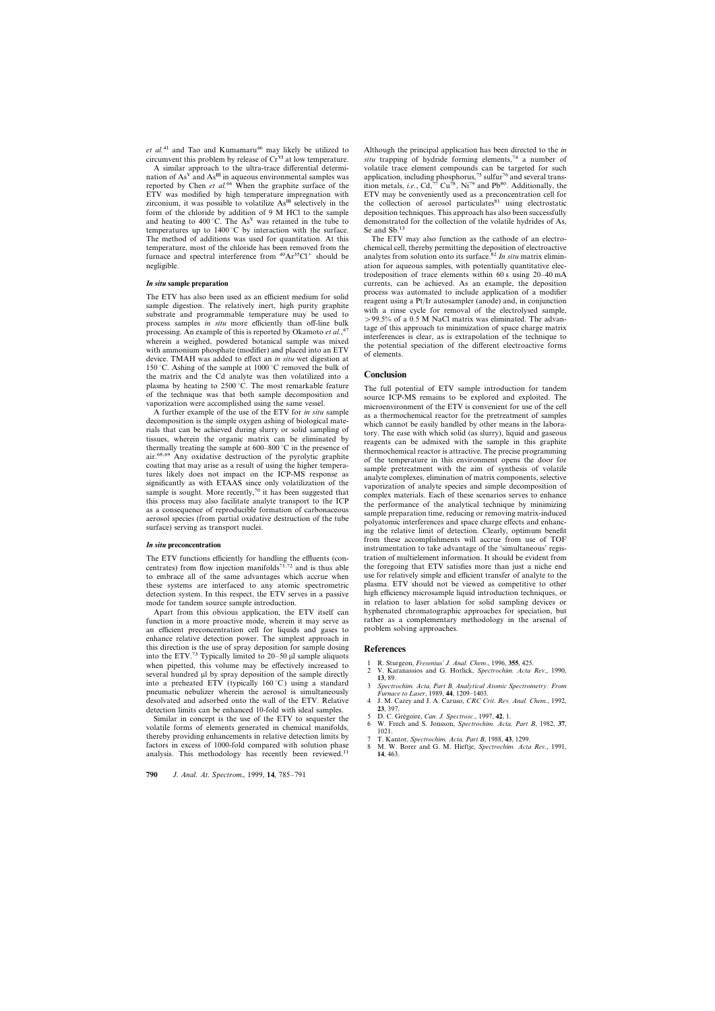*et al.*41 and Tao and Kumamaru46 may likely be utilized to Although the principal application has been directed to the *in*

nation of  $As^V$  and  $As^{III}$  in aqueous environmental samples was<br>reported by Chen *et al.*<sup>66</sup> When the graphite surface of the ETV was modified by high temperature impregnation with  $ETV$  may be conveniently used as a preconcentration cell for zirconium, it was possible to volatilize As<sup>III</sup> selectively in the collection of aerosol particulates<sup>81</sup> form of the chloride by addition of 9 M HCl to the sample deposition techniques. This approach has also been successfully and heating to 400 °C. The As temperatures up to  $1400^{\circ}$ C by interaction with the surface. Se and Sb.<sup>13</sup> The method of additions was used for quantitation. At this The ETV may also function as the cathode of an electrotemperature, most of the chloride has been removed from the chemical cell, thereby permitting the deposition of electroactive furnace and spectral interference from  ${}^{40}Ar^{35}Cl^+$  should be negligible.

The ETV has also been used as an e cient medium for solid<br>sample digestion. The relatively inert, high purity graphite<br>substrate and programmable temperature may be used to<br>process samples *in situ* more e ciently than o 150 °C. Ashing of the sample at 1000 °C removed the bulk of the matrix and the Cd analyte was then volatilized into a **Conclusion** plasma by heating to  $2500^{\circ}$ C. The most remarkable feature plasma by heating to 2500 °C. The most remarkable feature The full potential of ETV sample introduction for tandem<br>of the technique was that both sample decomposition and segures ICP MS remains to be evalented and evaloriz of the technique was that both sample decomposition and source ICP-MS remains to be explored and exploited. The vaporization were accomplished using the same vessel.

A further example of the use of the ETV for *in situ* sample as a thermochemical reactor for the pretreatment of samples decomposition is the simple oxygen ashing of biological mate-<br>which cannot be assitu hardled by other decomposition is the simple oxygen ashing of biological mate-<br>rials that can be achieved during slurry or solid sampling of the same with which colid (or clurry), liquid and gasoome rials that can be achieved during slurry or solid sampling of tory. The ease with which solid (as slurry), liquid and gaseous tissues, wherein the organic matrix can be eliminated by reagents can be admixed with the sample thermally treating the sample at  $600-800$  °C in the presence of Thermally treating the sample at  $\frac{1}{2}$  of the presence of the termochemical reactor is attractive. The precise programming air.<sup>68,69</sup> Any oxidative destruction of the pyrolytic graphite of the termochemical reactor i air.<sup>66,69</sup> Any oxidative destruction of the pyrolytic graphite of the temperature in this environment opens the door for coating that may arise as a result of using the higher tempera-<br>sample pretreatment with the aim of coating that may arise as a result of using the higher tempera-<br>tures likely does not impact on the ICP-MS response as a palyte complexes elimination of matrix components selective significantly as with ETAAS since only volatilization of the vaporization of analyte species and simple decomposition of sample is sought. More recently,<sup>70</sup> it has been suggested that complex materials. Each of these scenarios serves to enhance this process may also facilitate analyte transport to the ICP the performance of the analytical technique by minimizing the performance of the analytical technique by minimizing as a consequence of reproducible formation o as a consequence of reproducible formation of carbonaceous sample preparation time, reducing or removing matrix-induced aerosol species (from partial oxidative destruction of the tube polyatomic interferences and space cha aerosol species (from partial oxidative destruction of the tube polyatomic interferences and space charge e ects and enhanc-<br>surface) serving as transport nuclei.

centrates) from flow injection manifolds<sup>71,72</sup> and is thus able the foregoing that ETV satisfies more than just a niche end to embrace all of the same advantages which accrue when use for relatively simple and e cient tr to embrace all of the same advantages which accrue when use for relatively simple and e cient transfer of analyte to the these systems are interfaced to any atomic spectrometric plasma. ETV should not be viewed as competit these systems are interfaced to any atomic spectrometric plasma. ETV should not be viewed as competitive to other detection system. In this respect, the ETV serves in a passive high e ciency microsample liquid introduction detection system. In this respect, the ETV serves in a passive

function in a more proactive mode, wherein it may serve as a complementary an e cient preconcentration cell for liquids and gases to problem solving approaches. an e cient preconcentration cell for liquids and gases to enhance relative detection power. The simplest approach in this direction is the use of spray deposition for sample dosing **References** into the ETV.<sup>73</sup> Typically limited to 20–50  $\mu$ l sample aliquots when pipetted, this volume may be e ectively increased to  $\frac{1}{2}$  R. Sturgeon, *Fresenius' J. Anal. Chem.*, 1996, 355, 425. extraparties and G. Horlick, *Spectrochim. Acta Rev.*, 1990, several hundred µl by spray deposition of the sample directly<br>into a preheated ETV (typically 160 °C) using a standard<br>pneumatic nebulizer wherein the aerosol is simultaneously<br>prectrochim. Acta, Part B, Analytical Atomic pneumatic nebulizer wherein the aerosol is simultaneously desolvated and adsorbed onto the wall of the ETV. Relative detection limits can be enhanced 10-fold with ideal samples.<br>**23**, 397.<br>**23**, 397.<br>**23**, 397.<br>**23**, 397.<br>**25** D. C. Grégoire, *Can. J. Spectrosc.*, 1997, **42**, 1.

Similar in concept is the use of the ETV to sequester the  $\frac{5}{6}$ volatile forms of elements generated in chemical manifolds,<br>thereby providing enhancements in relative detection limits by<br> $\begin{array}{ccc}\n\text{or} & \text{or} & \text{or} \\
1021. & 1021. \\
\text{or} & \text{or} & \text{or} \\
\text{r} & \text{r} & \text{r} \\
\text{r} & \text{r} & \text{r} \\
\text{r}$ factors in excess of 1000-fold compared with solution phase 8 M. W. Borer and G. M. Hieftje, *Spectrochim. Acta Rev*., 1991, analysis. This methodology has recently been reviewed.<sup>11</sup>

circumvent this problem by release of  $Cr<sup>VI</sup>$  at low temperature. *situ* trapping of hydride forming elements,<sup>74</sup> a number of A similar approach to the ultra-trace di erential determi- volatile trace element compounds can be targeted for such application, including phosphorus,<sup>75</sup> sulfur<sup>76</sup> and several transition metals, *i.e.*, Cd,<sup>77</sup> Cu<sup>78</sup>, Ni<sup>79</sup> and Pb<sup>80</sup>. Additionally, the the collection of aerosol particulates $81$  using electrostatic demonstrated for the collection of the volatile hydrides of As,

analytes from solution onto its surface.<sup>82</sup> *In situ* matrix elimination for aqueous samples, with potentially quantitative electrodeposition of trace elements within 60 s using 20–40 mA *In situ* **sample preparation** currents, can be achieved. As an example, the deposition

porization were accomplished using the same vessel.<br>A further example of the use of the ETV for *in situ* sample as a thermosponical reactor for the pretreatment of samples reagents can be admixed with the sample in this graphite analyte complexes, elimination of matrix components, selective ing the relative limit of detection. Clearly, optimum benefit from these accomplishments will accrue from use of TOF *In situ* preconcentration<br>instrumentation to take advantage of the 'simultaneous' regis-<br>The ETV functions e ciently for handling the e uents (con-<br>tration of multielement information. It should be evident from The ETV functions e ciently for handling the e uents (con-<br>
centrates) from flow injection manifolds<sup>71,72</sup> and is thus able<br>
the foregoing that ETV satisfies more than just a niche end mode for tandem source sample introduction. in relation to laser ablation for solid sampling devices or<br>Apart from this obvious application, the ETV itself can by henated chromatographic approaches for speciation, but Apart from this obvious application, the ETV itself can hyphenated chromatographic approaches for speciation, but netion in a more proactive mode, wherein it may serve as rather as a complementary methodology in the arsena

- 
- 
- 
- J. M. Carey and J. A. Caruso, *CRC Crit. Rev. Anal. Chem.*, 1992,
- 
- 6 W. Frech and S. Jonsson, *Spectrochim. Acta, Part B*, 1982, **37** ,
- 
-